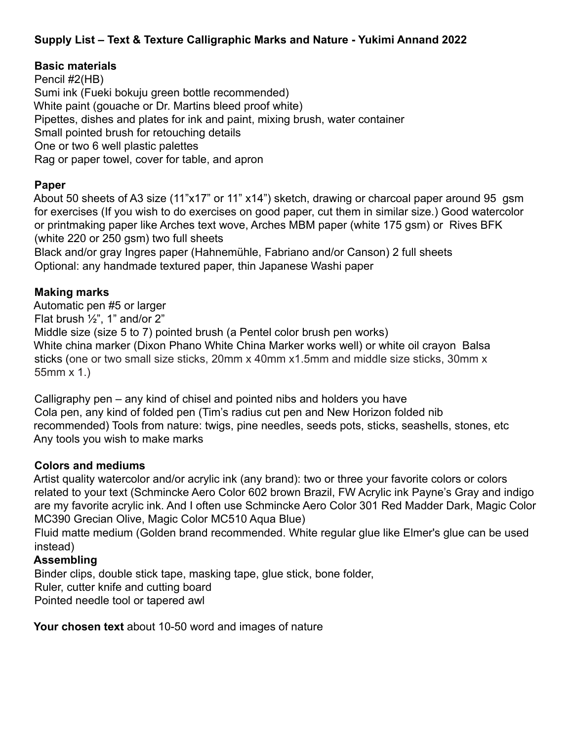# **Supply List – Text & Texture Calligraphic Marks and Nature - Yukimi Annand 2022**

## **Basic materials**

Pencil #2(HB) Sumi ink (Fueki bokuju green bottle recommended) White paint (gouache or Dr. Martins bleed proof white) Pipettes, dishes and plates for ink and paint, mixing brush, water container Small pointed brush for retouching details One or two 6 well plastic palettes Rag or paper towel, cover for table, and apron

### **Paper**

About 50 sheets of A3 size (11"x17" or 11" x14") sketch, drawing or charcoal paper around 95 gsm for exercises (If you wish to do exercises on good paper, cut them in similar size.) Good watercolor or printmaking paper like Arches text wove, Arches MBM paper (white 175 gsm) or Rives BFK (white 220 or 250 gsm) two full sheets

Black and/or gray Ingres paper (Hahnemühle, Fabriano and/or Canson) 2 full sheets Optional: any handmade textured paper, thin Japanese Washi paper

### **Making marks**

Automatic pen #5 or larger Flat brush  $\frac{1}{2}$ ", 1" and/or 2" Middle size (size 5 to 7) pointed brush (a Pentel color brush pen works) White china marker (Dixon Phano White China Marker works well) or white oil crayon Balsa sticks (one or two small size sticks, 20mm x 40mm x1.5mm and middle size sticks, 30mm x 55mm x 1.)

Calligraphy pen – any kind of chisel and pointed nibs and holders you have Cola pen, any kind of folded pen (Tim's radius cut pen and New Horizon folded nib recommended) Tools from nature: twigs, pine needles, seeds pots, sticks, seashells, stones, etc Any tools you wish to make marks

## **Colors and mediums**

Artist quality watercolor and/or acrylic ink (any brand): two or three your favorite colors or colors related to your text (Schmincke Aero Color 602 brown Brazil, FW Acrylic ink Payne's Gray and indigo are my favorite acrylic ink. And I often use Schmincke Aero Color 301 Red Madder Dark, Magic Color MC390 Grecian Olive, Magic Color MC510 Aqua Blue)

Fluid matte medium (Golden brand recommended. White regular glue like Elmer's glue can be used instead)

#### **Assembling**

Binder clips, double stick tape, masking tape, glue stick, bone folder, Ruler, cutter knife and cutting board Pointed needle tool or tapered awl

**Your chosen text** about 10-50 word and images of nature